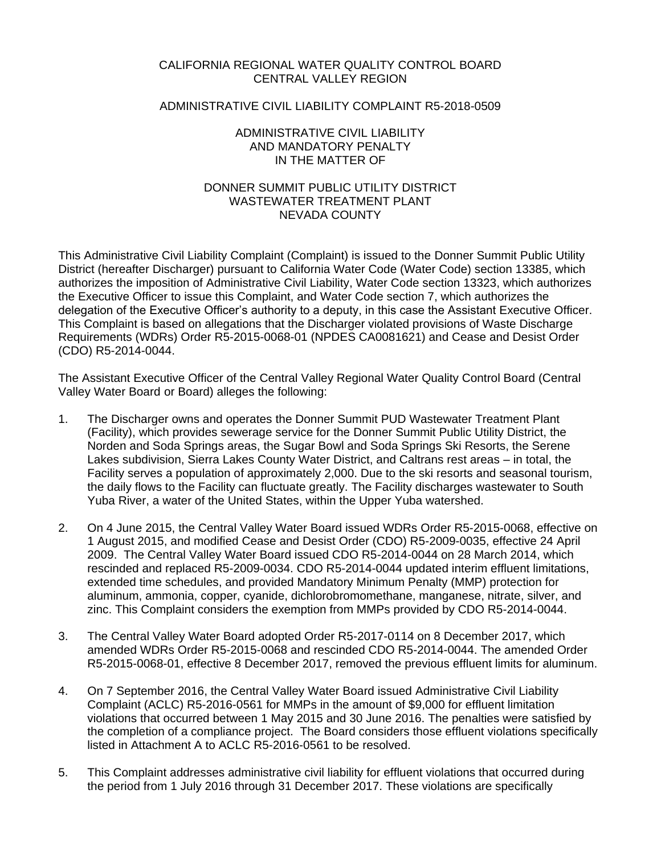## CALIFORNIA REGIONAL WATER QUALITY CONTROL BOARD CENTRAL VALLEY REGION

## ADMINISTRATIVE CIVIL LIABILITY COMPLAINT R5-2018-0509

## ADMINISTRATIVE CIVIL LIABILITY AND MANDATORY PENALTY IN THE MATTER OF

# DONNER SUMMIT PUBLIC UTILITY DISTRICT WASTEWATER TREATMENT PLANT NEVADA COUNTY

This Administrative Civil Liability Complaint (Complaint) is issued to the Donner Summit Public Utility District (hereafter Discharger) pursuant to California Water Code (Water Code) section 13385, which authorizes the imposition of Administrative Civil Liability, Water Code section 13323, which authorizes the Executive Officer to issue this Complaint, and Water Code section 7, which authorizes the delegation of the Executive Officer's authority to a deputy, in this case the Assistant Executive Officer. This Complaint is based on allegations that the Discharger violated provisions of Waste Discharge Requirements (WDRs) Order R5-2015-0068-01 (NPDES CA0081621) and Cease and Desist Order (CDO) R5-2014-0044.

The Assistant Executive Officer of the Central Valley Regional Water Quality Control Board (Central Valley Water Board or Board) alleges the following:

- 1. The Discharger owns and operates the Donner Summit PUD Wastewater Treatment Plant (Facility), which provides sewerage service for the Donner Summit Public Utility District, the Norden and Soda Springs areas, the Sugar Bowl and Soda Springs Ski Resorts, the Serene Lakes subdivision, Sierra Lakes County Water District, and Caltrans rest areas – in total, the Facility serves a population of approximately 2,000. Due to the ski resorts and seasonal tourism, the daily flows to the Facility can fluctuate greatly. The Facility discharges wastewater to South Yuba River, a water of the United States, within the Upper Yuba watershed.
- 2. On 4 June 2015, the Central Valley Water Board issued WDRs Order [R5-2015-0068,](https://www.waterboards.ca.gov/centralvalley/board_decisions/adopted_orders/nevada/r5-2015-0068.pdf) effective on 1 August 2015, and modified Cease and Desist Order (CDO) R5-2009-0035, effective 24 April 2009. The Central Valley Water Board issued CDO R5-2014-0044 on 28 March 2014, which rescinded and replaced R5-2009-0034. CDO R5-2014-0044 updated interim effluent limitations, extended time schedules, and provided Mandatory Minimum Penalty (MMP) protection for aluminum, ammonia, copper, cyanide, dichlorobromomethane, manganese, nitrate, silver, and zinc. This Complaint considers the exemption from MMPs provided by CDO R5-2014-0044.
- 3. The Central Valley Water Board adopted Order R5-2017-0114 on 8 December 2017, which amended WDRs Order R5-2015-0068 and rescinded CDO R5-2014-0044. The amended Order R5-2015-0068-01, effective 8 December 2017, removed the previous effluent limits for aluminum.
- 4. On 7 September 2016, the Central Valley Water Board issued Administrative Civil Liability Complaint (ACLC) R5-2016-0561 for MMPs in the amount of \$9,000 for effluent limitation violations that occurred between 1 May 2015 and 30 June 2016. The penalties were satisfied by the completion of a compliance project. The Board considers those effluent violations specifically listed in Attachment A to ACLC R5-2016-0561 to be resolved.
- 5. This Complaint addresses administrative civil liability for effluent violations that occurred during the period from 1 July 2016 through 31 December 2017. These violations are specifically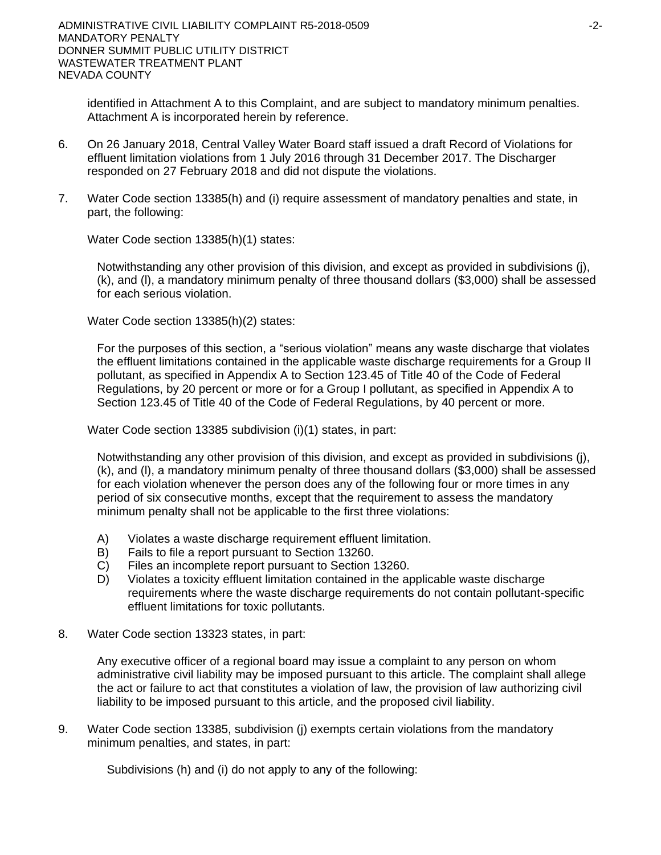identified in Attachment A to this Complaint, and are subject to mandatory minimum penalties. Attachment A is incorporated herein by reference.

- 6. On 26 January 2018, Central Valley Water Board staff issued a draft Record of Violations for effluent limitation violations from 1 July 2016 through 31 December 2017. The Discharger responded on 27 February 2018 and did not dispute the violations.
- 7. Water Code section 13385(h) and (i) require assessment of mandatory penalties and state, in part, the following:

Water Code section 13385(h)(1) states:

Notwithstanding any other provision of this division, and except as provided in subdivisions (j), (k), and (l), a mandatory minimum penalty of three thousand dollars (\$3,000) shall be assessed for each serious violation.

Water Code section 13385(h)(2) states:

For the purposes of this section, a "serious violation" means any waste discharge that violates the effluent limitations contained in the applicable waste discharge requirements for a Group II pollutant, as specified in Appendix A to Section 123.45 of Title 40 of the Code of Federal Regulations, by 20 percent or more or for a Group I pollutant, as specified in Appendix A to Section 123.45 of Title 40 of the Code of Federal Regulations, by 40 percent or more.

Water Code section 13385 subdivision (i)(1) states, in part:

Notwithstanding any other provision of this division, and except as provided in subdivisions (j), (k), and (l), a mandatory minimum penalty of three thousand dollars (\$3,000) shall be assessed for each violation whenever the person does any of the following four or more times in any period of six consecutive months, except that the requirement to assess the mandatory minimum penalty shall not be applicable to the first three violations:

- A) Violates a waste discharge requirement effluent limitation.
- B) Fails to file a report pursuant to Section 13260.
- C) Files an incomplete report pursuant to Section 13260.
- D) Violates a toxicity effluent limitation contained in the applicable waste discharge requirements where the waste discharge requirements do not contain pollutant-specific effluent limitations for toxic pollutants.
- 8. Water Code section 13323 states, in part:

Any executive officer of a regional board may issue a complaint to any person on whom administrative civil liability may be imposed pursuant to this article. The complaint shall allege the act or failure to act that constitutes a violation of law, the provision of law authorizing civil liability to be imposed pursuant to this article, and the proposed civil liability.

9. Water Code section 13385, subdivision (j) exempts certain violations from the mandatory minimum penalties, and states, in part:

Subdivisions (h) and (i) do not apply to any of the following: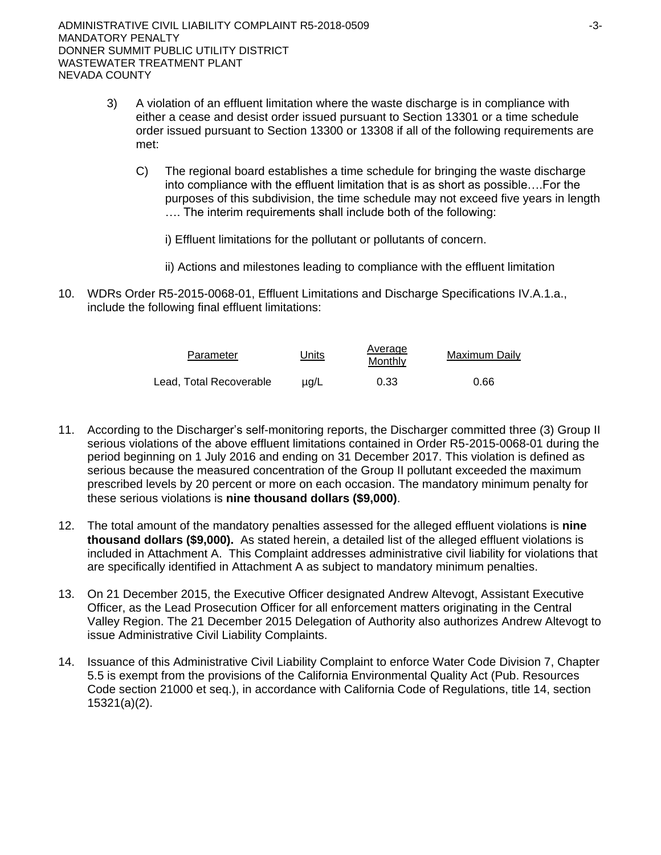- 3) A violation of an effluent limitation where the waste discharge is in compliance with either a cease and desist order issued pursuant to Section 13301 or a time schedule order issued pursuant to Section 13300 or 13308 if all of the following requirements are met:
	- C) The regional board establishes a time schedule for bringing the waste discharge into compliance with the effluent limitation that is as short as possible….For the purposes of this subdivision, the time schedule may not exceed five years in length …. The interim requirements shall include both of the following:
		- i) Effluent limitations for the pollutant or pollutants of concern.
		- ii) Actions and milestones leading to compliance with the effluent limitation
- 10. WDRs Order R5-2015-0068-01, Effluent Limitations and Discharge Specifications IV.A.1.a., include the following final effluent limitations:

| Parameter               | Units     | Average<br>Monthly | Maximum Daily |
|-------------------------|-----------|--------------------|---------------|
| Lead, Total Recoverable | $\mu$ a/L | 0.33               | 0.66          |

- 11. According to the Discharger's self-monitoring reports, the Discharger committed three (3) Group II serious violations of the above effluent limitations contained in Order R5-2015-0068-01 during the period beginning on 1 July 2016 and ending on 31 December 2017. This violation is defined as serious because the measured concentration of the Group II pollutant exceeded the maximum prescribed levels by 20 percent or more on each occasion. The mandatory minimum penalty for these serious violations is **nine thousand dollars (\$9,000)**.
- 12. The total amount of the mandatory penalties assessed for the alleged effluent violations is **nine thousand dollars (\$9,000).** As stated herein, a detailed list of the alleged effluent violations is included in Attachment A. This Complaint addresses administrative civil liability for violations that are specifically identified in Attachment A as subject to mandatory minimum penalties.
- 13. On 21 December 2015, the Executive Officer designated Andrew Altevogt, Assistant Executive Officer, as the Lead Prosecution Officer for all enforcement matters originating in the Central Valley Region. The 21 December 2015 Delegation of Authority also authorizes Andrew Altevogt to issue Administrative Civil Liability Complaints.
- 14. Issuance of this Administrative Civil Liability Complaint to enforce Water Code Division 7, Chapter 5.5 is exempt from the provisions of the California Environmental Quality Act (Pub. Resources Code section 21000 et seq.), in accordance with California Code of Regulations, title 14, section 15321(a)(2).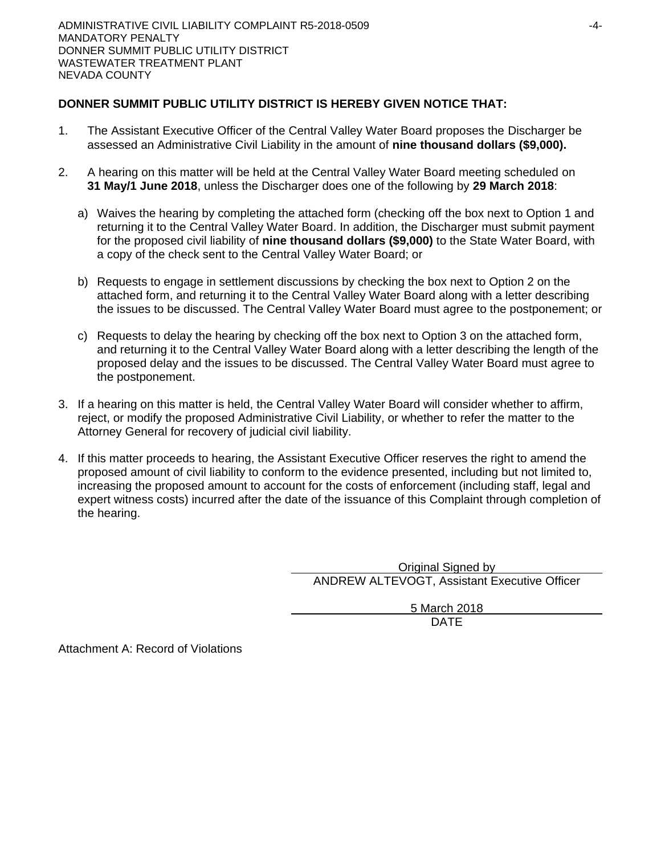# **DONNER SUMMIT PUBLIC UTILITY DISTRICT IS HEREBY GIVEN NOTICE THAT:**

- 1. The Assistant Executive Officer of the Central Valley Water Board proposes the Discharger be assessed an Administrative Civil Liability in the amount of **nine thousand dollars (\$9,000).**
- 2. A hearing on this matter will be held at the Central Valley Water Board meeting scheduled on **31 May/1 June 2018**, unless the Discharger does one of the following by **29 March 2018**:
	- a) Waives the hearing by completing the attached form (checking off the box next to Option 1 and returning it to the Central Valley Water Board. In addition, the Discharger must submit payment for the proposed civil liability of **nine thousand dollars (\$9,000)** to the State Water Board, with a copy of the check sent to the Central Valley Water Board; or
	- b) Requests to engage in settlement discussions by checking the box next to Option 2 on the attached form, and returning it to the Central Valley Water Board along with a letter describing the issues to be discussed. The Central Valley Water Board must agree to the postponement; or
	- c) Requests to delay the hearing by checking off the box next to Option 3 on the attached form, and returning it to the Central Valley Water Board along with a letter describing the length of the proposed delay and the issues to be discussed. The Central Valley Water Board must agree to the postponement.
- 3. If a hearing on this matter is held, the Central Valley Water Board will consider whether to affirm, reject, or modify the proposed Administrative Civil Liability, or whether to refer the matter to the Attorney General for recovery of judicial civil liability.
- 4. If this matter proceeds to hearing, the Assistant Executive Officer reserves the right to amend the proposed amount of civil liability to conform to the evidence presented, including but not limited to, increasing the proposed amount to account for the costs of enforcement (including staff, legal and expert witness costs) incurred after the date of the issuance of this Complaint through completion of the hearing.

Original Signed by ANDREW ALTEVOGT, Assistant Executive Officer

> 5 March 2018 DATE

Attachment A: Record of Violations